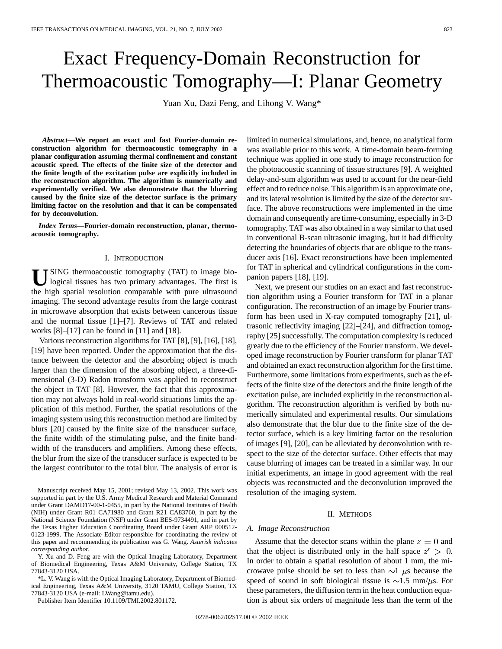# Exact Frequency-Domain Reconstruction for Thermoacoustic Tomography—I: Planar Geometry

Yuan Xu, Dazi Feng, and Lihong V. Wang\*

*Abstract—***We report an exact and fast Fourier-domain reconstruction algorithm for thermoacoustic tomography in a planar configuration assuming thermal confinement and constant acoustic speed. The effects of the finite size of the detector and the finite length of the excitation pulse are explicitly included in the reconstruction algorithm. The algorithm is numerically and experimentally verified. We also demonstrate that the blurring caused by the finite size of the detector surface is the primary limiting factor on the resolution and that it can be compensated for by deconvolution.**

*Index Terms—***Fourier-domain reconstruction, planar, thermoacoustic tomography.**

#### I. INTRODUCTION

USING thermoacoustic tomography (TAT) to image bio-<br>logical tissues has two primary advantages. The first is the high spatial resolution comparable with pure ultrasound imaging. The second advantage results from the large contrast in microwave absorption that exists between cancerous tissue and the normal tissue [1]–[7]. Reviews of TAT and related works  $[8]-[17]$  can be found in  $[11]$  and  $[18]$ .

Various reconstruction algorithms for TAT [8], [9], [16], [18], [19] have been reported. Under the approximation that the distance between the detector and the absorbing object is much larger than the dimension of the absorbing object, a three-dimensional (3-D) Radon transform was applied to reconstruct the object in TAT [8]. However, the fact that this approximation may not always hold in real-world situations limits the application of this method. Further, the spatial resolutions of the imaging system using this reconstruction method are limited by blurs [20] caused by the finite size of the transducer surface, the finite width of the stimulating pulse, and the finite bandwidth of the transducers and amplifiers. Among these effects, the blur from the size of the transducer surface is expected to be the largest contributor to the total blur. The analysis of error is

Manuscript received May 15, 2001; revised May 13, 2002. This work was supported in part by the U.S. Army Medical Research and Material Command under Grant DAMD17-00-1-0455, in part by the National Institutes of Health (NIH) under Grant R01 CA71980 and Grant R21 CA83760, in part by the National Science Foundation (NSF) under Grant BES-9734491, and in part by the Texas Higher Education Coordinating Board under Grant ARP 000512- 0123-1999. The Associate Editor responsible for coordinating the review of this paper and recommending its publication was G. Wang. *Asterisk indicates corresponding author.*

Y. Xu and D. Feng are with the Optical Imaging Laboratory, Department of Biomedical Engineering, Texas A&M University, College Station, TX 77843-3120 USA.

\*L. V. Wang is with the Optical Imaging Laboratory, Department of Biomedical Engineering, Texas A&M University, 3120 TAMU, College Station, TX 77843-3120 USA (e-mail: LWang@tamu.edu).

Publisher Item Identifier 10.1109/TMI.2002.801172.

limited in numerical simulations, and, hence, no analytical form was available prior to this work. A time-domain beam-forming technique was applied in one study to image reconstruction for the photoacoustic scanning of tissue structures [9]. A weighted delay-and-sum algorithm was used to account for the near-field effect and to reduce noise. This algorithm is an approximate one, and its lateral resolution is limited by the size of the detector surface. The above reconstructions were implemented in the time domain and consequently are time-consuming, especially in 3-D tomography. TAT was also obtained in a way similar to that used in conventional B-scan ultrasonic imaging, but it had difficulty detecting the boundaries of objects that are oblique to the transducer axis [16]. Exact reconstructions have been implemented for TAT in spherical and cylindrical configurations in the companion papers [18], [19].

Next, we present our studies on an exact and fast reconstruction algorithm using a Fourier transform for TAT in a planar configuration. The reconstruction of an image by Fourier transform has been used in X-ray computed tomography [21], ultrasonic reflectivity imaging [22]–[24], and diffraction tomography [25] successfully. The computation complexity is reduced greatly due to the efficiency of the Fourier transform. We developed image reconstruction by Fourier transform for planar TAT and obtained an exact reconstruction algorithm for the first time. Furthermore, some limitations from experiments, such as the effects of the finite size of the detectors and the finite length of the excitation pulse, are included explicitly in the reconstruction algorithm. The reconstruction algorithm is verified by both numerically simulated and experimental results. Our simulations also demonstrate that the blur due to the finite size of the detector surface, which is a key limiting factor on the resolution of images [9], [20], can be alleviated by deconvolution with respect to the size of the detector surface. Other effects that may cause blurring of images can be treated in a similar way. In our initial experiments, an image in good agreement with the real objects was reconstructed and the deconvolution improved the resolution of the imaging system.

### II. METHODS

## *A. Image Reconstruction*

Assume that the detector scans within the plane  $z = 0$  and that the object is distributed only in the half space  $z' > 0$ . In order to obtain a spatial resolution of about 1 mm, the microwave pulse should be set to less than  $\sim$ 1  $\mu$ s because the speed of sound in soft biological tissue is  $\sim$ 1.5 mm/ $\mu$ s. For these parameters, the diffusion term in the heat conduction equation is about six orders of magnitude less than the term of the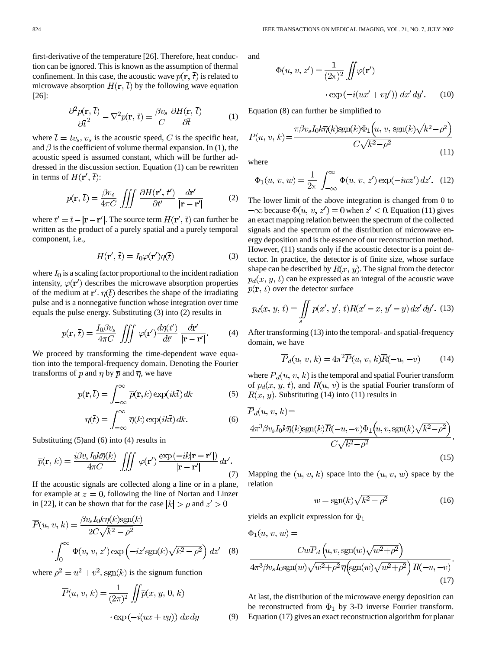first-derivative of the temperature [26]. Therefore, heat conduction can be ignored. This is known as the assumption of thermal confinement. In this case, the acoustic wave  $p(\mathbf{r}, \overline{t})$  is related to microwave absorption  $H(\mathbf{r}, \overline{t})$  by the following wave equation [26]:

$$
\frac{\partial^2 p(\mathbf{r}, \bar{t})}{\partial \bar{t}^2} - \nabla^2 p(\mathbf{r}, \bar{t}) = \frac{\beta v_s}{C} \frac{\partial H(\mathbf{r}, \bar{t})}{\partial \bar{t}}
$$
(1)

where  $\overline{t} = tv_s, v_s$  is the acoustic speed, C is the specific heat, and  $\beta$  is the coefficient of volume thermal expansion. In (1), the acoustic speed is assumed constant, which will be further addressed in the discussion section. Equation (1) can be rewritten in terms of  $H(r', \bar{t})$ :

$$
p(\mathbf{r},\,\bar{t}) = \frac{\beta v_s}{4\pi C} \iiint \frac{\partial H(\mathbf{r}',\,t')}{\partial t'} \frac{d\mathbf{r}'}{|\mathbf{r} - \mathbf{r}'|} \tag{2}
$$

where  $t' = \bar{t} - |\mathbf{r} - \mathbf{r}'|$ . The source term  $H(\mathbf{r}', \bar{t})$  can further be written as the product of a purely spatial and a purely temporal component, i.e.,

$$
H(\mathbf{r}', \bar{t}) = I_0 \varphi(\mathbf{r}') \eta(\bar{t})
$$
\n(3)

where  $I_0$  is a scaling factor proportional to the incident radiation intensity,  $\varphi(\mathbf{r}')$  describes the microwave absorption properties of the medium at  $\mathbf{r}'$ .  $\eta(\bar{t})$  describes the shape of the irradiating pulse and is a nonnegative function whose integration over time equals the pulse energy. Substituting (3) into (2) results in

$$
p(\mathbf{r},\,\bar{t}) = \frac{I_0 \beta v_s}{4\pi C} \iiint \varphi(\mathbf{r}') \frac{d\eta(t')}{dt'} \frac{d\mathbf{r}'}{|\mathbf{r} - \mathbf{r}'|}.\tag{4}
$$

We proceed by transforming the time-dependent wave equation into the temporal-frequency domain. Denoting the Fourier transforms of p and  $\eta$  by  $\overline{p}$  and  $\overline{\eta}$ , we have

$$
p(\mathbf{r},\bar{t}) = \int_{-\infty}^{\infty} \bar{p}(\mathbf{r},k) \exp(ik\bar{t}) \, dk \tag{5}
$$

$$
\eta(\overline{t}) = \int_{-\infty}^{\infty} \overline{\eta}(k) \exp(ik\overline{t}) \, dk. \tag{6}
$$

Substituting (5)and (6) into (4) results in

$$
\overline{p}(\mathbf{r},k) = \frac{i\beta v_s I_0 k \overline{\eta}(k)}{4\pi C} \iiint \varphi(\mathbf{r}') \frac{\exp(-ik|\mathbf{r}-\mathbf{r}'|)}{|\mathbf{r}-\mathbf{r}'|} d\mathbf{r}'. \tag{7}
$$

If the acoustic signals are collected along a line or in a plane, for example at  $z = 0$ , following the line of Nortan and Linzer in [22], it can be shown that for the case  $|k| > \rho$  and  $z' > 0$ 

$$
\overline{P}(u, v, k) = \frac{\beta v_s I_0 k \eta(k) \text{sgn}(k)}{2C \sqrt{k^2 - \rho^2}} \cdot \int_0^\infty \Phi(v, v, z') \exp\left(-iz' \text{sgn}(k) \sqrt{k^2 - \rho^2}\right) dz' \quad (8)
$$

where  $\rho^2 = u^2 + v^2$ , sgn(k) is the signum function

$$
\overline{P}(u, v, k) = \frac{1}{(2\pi)^2} \iint \overline{p}(x, y, 0, k)
$$

$$
\cdot \exp(-i(ux + vy)) dx dy \tag{9}
$$

and

$$
\Phi(u, v, z') = \frac{1}{(2\pi)^2} \iint \varphi(\mathbf{r'})
$$

$$
\cdot \exp(-i(ux' + vy')) dx' dy'. \qquad (10)
$$

Equation (8) can further be simplified to

$$
\overline{P}(u, v, k) = \frac{\pi \beta v_s I_0 k \overline{\eta}(k) \operatorname{sgn}(k) \Phi_1(u, v, \operatorname{sgn}(k) \sqrt{k^2 - \rho^2})}{C \sqrt{k^2 - \rho^2}}
$$
\n(11)

where

$$
\Phi_1(u, v, w) = \frac{1}{2\pi} \int_{-\infty}^{\infty} \Phi(u, v, z') \exp(-iwx') dz'. \tag{12}
$$

The lower limit of the above integration is changed from 0 to  $-\infty$  because  $\Phi(u, v, z') = 0$  when  $z' < 0$ . Equation (11) gives an exact mapping relation between the spectrum of the collected signals and the spectrum of the distribution of microwave energy deposition and is the essence of our reconstruction method. However, (11) stands only if the acoustic detector is a point detector. In practice, the detector is of finite size, whose surface shape can be described by  $R(x, y)$ . The signal from the detector  $p_d(x, y, t)$  can be expressed as an integral of the acoustic wave  $p(\mathbf{r}, t)$  over the detector surface

$$
p_d(x, y, t) = \iint\limits_{s} p(x', y', t) R(x' - x, y' - y) dx' dy'. \tag{13}
$$

After transforming (13) into the temporal- and spatial-frequency domain, we have

$$
\overline{P}_d(u, v, k) = 4\pi^2 \overline{P}(u, v, k)\overline{R}(-u, -v) \tag{14}
$$

where  $\overline{P}_d(u, v, k)$  is the temporal and spatial Fourier transform of  $p_d(x, y, t)$ , and  $\overline{R}(u, v)$  is the spatial Fourier transform of  $R(x, y)$ . Substituting (14) into (11) results in

$$
\overline{P}_d(u, v, k) =
$$
\n
$$
\frac{4\pi^3 \beta v_s I_0 k \overline{\eta}(k) \text{sgn}(k) \overline{R}(-u, -v) \Phi_1(u, v, \text{sgn}(k) \sqrt{k^2 - \rho^2})}{C\sqrt{k^2 - \rho^2}}.
$$
\n(15)

Mapping the  $(u, v, k)$  space into the  $(u, v, w)$  space by the relation

$$
w = \text{sgn}(k)\sqrt{k^2 - \rho^2} \tag{16}
$$

yields an explicit expression for  $\Phi_1$ 

$$
\Phi_1(u, v, w) =
$$
\n
$$
Cw\overline{P}_d\left(u, v, \text{sgn}(w)\sqrt{w^2 + \rho^2}\right)
$$
\n
$$
4\pi^3 \beta v_s I_0 \text{sgn}(w) \sqrt{w^2 + \rho^2} \overline{\eta}\left(\text{sgn}(w)\sqrt{w^2 + \rho^2}\right) \overline{R}(-u, -v)
$$
\n(17)

At last, the distribution of the microwave energy deposition can be reconstructed from  $\Phi_1$  by 3-D inverse Fourier transform. Equation (17) gives an exact reconstruction algorithm for planar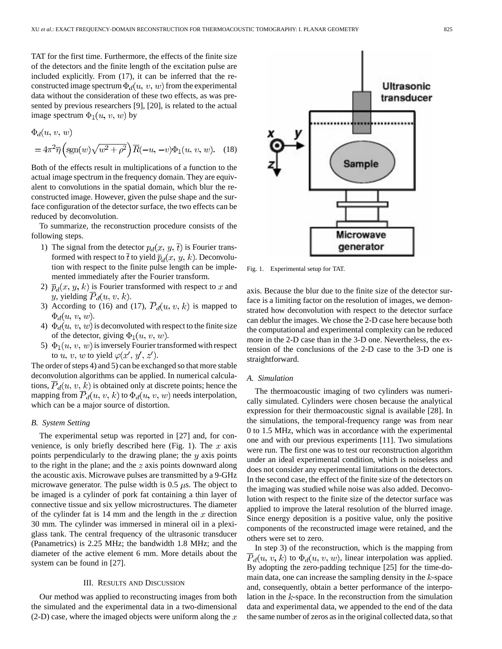TAT for the first time. Furthermore, the effects of the finite size of the detectors and the finite length of the excitation pulse are included explicitly. From (17), it can be inferred that the reconstructed image spectrum  $\Phi_d(u, v, w)$  from the experimental data without the consideration of these two effects, as was presented by previous researchers [9], [20], is related to the actual image spectrum  $\Phi_1(u, v, w)$  by

$$
\Phi_d(u, v, w)
$$
  
=  $4\pi^2 \overline{\eta} \left( \text{sgn}(w) \sqrt{w^2 + \rho^2} \right) \overline{R}(-u, -v) \Phi_1(u, v, w).$  (18)

Both of the effects result in multiplications of a function to the actual image spectrum in the frequency domain. They are equivalent to convolutions in the spatial domain, which blur the reconstructed image. However, given the pulse shape and the surface configuration of the detector surface, the two effects can be reduced by deconvolution.

To summarize, the reconstruction procedure consists of the following steps.

- 1) The signal from the detector  $p_d(x, y, \bar{t})$  is Fourier transformed with respect to  $\bar{t}$  to yield  $\bar{p}_d(x, y, k)$ . Deconvolution with respect to the finite pulse length can be implemented immediately after the Fourier transform.
- 2)  $\overline{p}_d(x, y, k)$  is Fourier transformed with respect to x and y, yielding  $\overline{P}_d(u, v, k)$ .
- 3) According to (16) and (17),  $\overline{P}_d(u, v, k)$  is mapped to  $\Phi_d(u, v, w)$ .
- 4)  $\Phi_d(u, v, w)$  is deconvoluted with respect to the finite size of the detector, giving  $\Phi_1(u, v, w)$ .
- 5)  $\Phi_1(u, v, w)$  is inversely Fourier transformed with respect to u, v, w to yield  $\varphi(x', y', z')$ .

The order of steps 4) and 5) can be exchanged so that more stable deconvolution algorithms can be applied. In numerical calculations,  $\overline{P}_d(u, v, k)$  is obtained only at discrete points; hence the mapping from  $P_d(u, v, k)$  to  $\Phi_d(u, v, w)$  needs interpolation, which can be a major source of distortion.

# *B. System Setting*

The experimental setup was reported in [27] and, for convenience, is only briefly described here (Fig. 1). The  $x$  axis points perpendicularly to the drawing plane; the  $y$  axis points to the right in the plane; and the  $z$  axis points downward along the acoustic axis. Microwave pulses are transmitted by a 9-GHz microwave generator. The pulse width is 0.5  $\mu$ s. The object to be imaged is a cylinder of pork fat containing a thin layer of connective tissue and six yellow microstructures. The diameter of the cylinder fat is 14 mm and the length in the  $x$  direction 30 mm. The cylinder was immersed in mineral oil in a plexiglass tank. The central frequency of the ultrasonic transducer (Panametrics) is 2.25 MHz; the bandwidth 1.8 MHz; and the diameter of the active element 6 mm. More details about the system can be found in [27].

#### III. RESULTS AND DISCUSSION

Our method was applied to reconstructing images from both the simulated and the experimental data in a two-dimensional  $(2-D)$  case, where the imaged objects were uniform along the x



Fig. 1. Experimental setup for TAT.

axis. Because the blur due to the finite size of the detector surface is a limiting factor on the resolution of images, we demonstrated how deconvolution with respect to the detector surface can deblur the images. We chose the 2-D case here because both the computational and experimental complexity can be reduced more in the 2-D case than in the 3-D one. Nevertheless, the extension of the conclusions of the 2-D case to the 3-D one is straightforward.

# *A. Simulation*

The thermoacoustic imaging of two cylinders was numerically simulated. Cylinders were chosen because the analytical expression for their thermoacoustic signal is available [28]. In the simulations, the temporal-frequency range was from near 0 to 1.5 MHz, which was in accordance with the experimental one and with our previous experiments [11]. Two simulations were run. The first one was to test our reconstruction algorithm under an ideal experimental condition, which is noiseless and does not consider any experimental limitations on the detectors. In the second case, the effect of the finite size of the detectors on the imaging was studied while noise was also added. Deconvolution with respect to the finite size of the detector surface was applied to improve the lateral resolution of the blurred image. Since energy deposition is a positive value, only the positive components of the reconstructed image were retained, and the others were set to zero.

In step 3) of the reconstruction, which is the mapping from  $\overline{P}_d(u, v, k)$  to  $\Phi_d(u, v, w)$ , linear interpolation was applied. By adopting the zero-padding technique [25] for the time-domain data, one can increase the sampling density in the  $k$ -space and, consequently, obtain a better performance of the interpolation in the  $k$ -space. In the reconstruction from the simulation data and experimental data, we appended to the end of the data the same number of zeros as in the original collected data, so that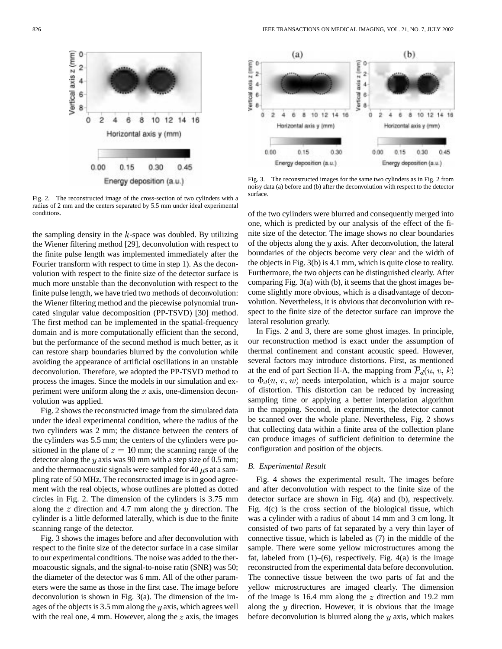

Fig. 2. The reconstructed image of the cross-section of two cylinders with a radius of 2 mm and the centers separated by 5.5 mm under ideal experimental conditions.

the sampling density in the  $k$ -space was doubled. By utilizing the Wiener filtering method [29], deconvolution with respect to the finite pulse length was implemented immediately after the Fourier transform with respect to time in step 1). As the deconvolution with respect to the finite size of the detector surface is much more unstable than the deconvolution with respect to the finite pulse length, we have tried two methods of deconvolution: the Wiener filtering method and the piecewise polynomial truncated singular value decomposition (PP-TSVD) [30] method. The first method can be implemented in the spatial-frequency domain and is more computationally efficient than the second, but the performance of the second method is much better, as it can restore sharp boundaries blurred by the convolution while avoiding the appearance of artificial oscillations in an unstable deconvolution. Therefore, we adopted the PP-TSVD method to process the images. Since the models in our simulation and experiment were uniform along the  $x$  axis, one-dimension deconvolution was applied.

Fig. 2 shows the reconstructed image from the simulated data under the ideal experimental condition, where the radius of the two cylinders was 2 mm; the distance between the centers of the cylinders was 5.5 mm; the centers of the cylinders were positioned in the plane of  $z = 10$  mm; the scanning range of the detector along the  $y$  axis was 90 mm with a step size of 0.5 mm; and the thermoacoustic signals were sampled for 40  $\mu$ s at a sampling rate of 50 MHz. The reconstructed image is in good agreement with the real objects, whose outlines are plotted as dotted circles in Fig. 2. The dimension of the cylinders is 3.75 mm along the  $z$  direction and 4.7 mm along the  $y$  direction. The cylinder is a little deformed laterally, which is due to the finite scanning range of the detector.

Fig. 3 shows the images before and after deconvolution with respect to the finite size of the detector surface in a case similar to our experimental conditions. The noise was added to the thermoacoustic signals, and the signal-to-noise ratio (SNR) was 50; the diameter of the detector was 6 mm. All of the other parameters were the same as those in the first case. The image before deconvolution is shown in Fig. 3(a). The dimension of the images of the objects is  $3.5 \text{ mm}$  along the y axis, which agrees well with the real one, 4 mm. However, along the  $z$  axis, the images



Fig. 3. The reconstructed images for the same two cylinders as in Fig. 2 from noisy data (a) before and (b) after the deconvolution with respect to the detector surface.

of the two cylinders were blurred and consequently merged into one, which is predicted by our analysis of the effect of the finite size of the detector. The image shows no clear boundaries of the objects along the  $y$  axis. After deconvolution, the lateral boundaries of the objects become very clear and the width of the objects in Fig. 3(b) is 4.1 mm, which is quite close to reality. Furthermore, the two objects can be distinguished clearly. After comparing Fig. 3(a) with (b), it seems that the ghost images become slightly more obvious, which is a disadvantage of deconvolution. Nevertheless, it is obvious that deconvolution with respect to the finite size of the detector surface can improve the lateral resolution greatly.

In Figs. 2 and 3, there are some ghost images. In principle, our reconstruction method is exact under the assumption of thermal confinement and constant acoustic speed. However, several factors may introduce distortions. First, as mentioned at the end of part Section II-A, the mapping from  $\overline{P}_d(u, v, k)$ to  $\Phi_d(u, v, w)$  needs interpolation, which is a major source of distortion. This distortion can be reduced by increasing sampling time or applying a better interpolation algorithm in the mapping. Second, in experiments, the detector cannot be scanned over the whole plane. Nevertheless, Fig. 2 shows that collecting data within a finite area of the collection plane can produce images of sufficient definition to determine the configuration and position of the objects.

## *B. Experimental Result*

Fig. 4 shows the experimental result. The images before and after deconvolution with respect to the finite size of the detector surface are shown in Fig. 4(a) and (b), respectively. Fig. 4(c) is the cross section of the biological tissue, which was a cylinder with a radius of about 14 mm and 3 cm long. It consisted of two parts of fat separated by a very thin layer of connective tissue, which is labeled as (7) in the middle of the sample. There were some yellow microstructures among the fat, labeled from  $(1)$ – $(6)$ , respectively. Fig. 4 $(a)$  is the image reconstructed from the experimental data before deconvolution. The connective tissue between the two parts of fat and the yellow microstructures are imaged clearly. The dimension of the image is 16.4 mm along the  $z$  direction and 19.2 mm along the  $y$  direction. However, it is obvious that the image before deconvolution is blurred along the  $y$  axis, which makes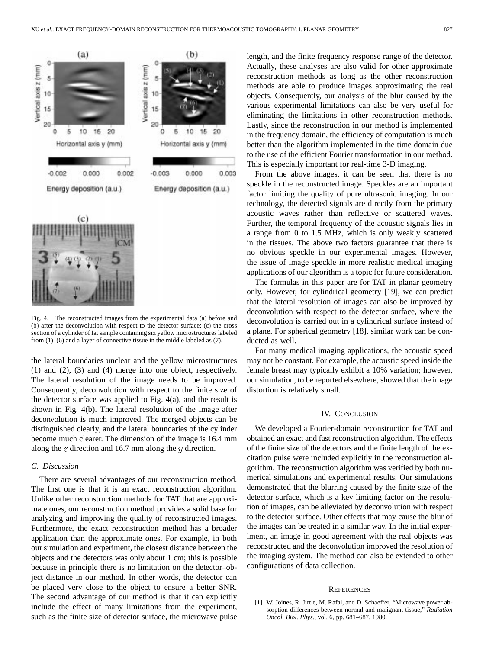



Fig. 4. The reconstructed images from the experimental data (a) before and (b) after the deconvolution with respect to the detector surface; (c) the cross section of a cylinder of fat sample containing six yellow microstructures labeled from (1)–(6) and a layer of connective tissue in the middle labeled as (7).

the lateral boundaries unclear and the yellow microstructures (1) and (2), (3) and (4) merge into one object, respectively. The lateral resolution of the image needs to be improved. Consequently, deconvolution with respect to the finite size of the detector surface was applied to Fig. 4(a), and the result is shown in Fig. 4(b). The lateral resolution of the image after deconvolution is much improved. The merged objects can be distinguished clearly, and the lateral boundaries of the cylinder become much clearer. The dimension of the image is 16.4 mm along the  $z$  direction and 16.7 mm along the  $y$  direction.

## *C. Discussion*

There are several advantages of our reconstruction method. The first one is that it is an exact reconstruction algorithm. Unlike other reconstruction methods for TAT that are approximate ones, our reconstruction method provides a solid base for analyzing and improving the quality of reconstructed images. Furthermore, the exact reconstruction method has a broader application than the approximate ones. For example, in both our simulation and experiment, the closest distance between the objects and the detectors was only about 1 cm; this is possible because in principle there is no limitation on the detector–object distance in our method. In other words, the detector can be placed very close to the object to ensure a better SNR. The second advantage of our method is that it can explicitly include the effect of many limitations from the experiment, such as the finite size of detector surface, the microwave pulse length, and the finite frequency response range of the detector. Actually, these analyses are also valid for other approximate reconstruction methods as long as the other reconstruction methods are able to produce images approximating the real objects. Consequently, our analysis of the blur caused by the various experimental limitations can also be very useful for eliminating the limitations in other reconstruction methods. Lastly, since the reconstruction in our method is implemented in the frequency domain, the efficiency of computation is much better than the algorithm implemented in the time domain due to the use of the efficient Fourier transformation in our method. This is especially important for real-time 3-D imaging.

From the above images, it can be seen that there is no speckle in the reconstructed image. Speckles are an important factor limiting the quality of pure ultrasonic imaging. In our technology, the detected signals are directly from the primary acoustic waves rather than reflective or scattered waves. Further, the temporal frequency of the acoustic signals lies in a range from 0 to 1.5 MHz, which is only weakly scattered in the tissues. The above two factors guarantee that there is no obvious speckle in our experimental images. However, the issue of image speckle in more realistic medical imaging applications of our algorithm is a topic for future consideration.

The formulas in this paper are for TAT in planar geometry only. However, for cylindrical geometry [19], we can predict that the lateral resolution of images can also be improved by deconvolution with respect to the detector surface, where the deconvolution is carried out in a cylindrical surface instead of a plane. For spherical geometry [18], similar work can be conducted as well.

For many medical imaging applications, the acoustic speed may not be constant. For example, the acoustic speed inside the female breast may typically exhibit a 10% variation; however, our simulation, to be reported elsewhere, showed that the image distortion is relatively small.

# IV. CONCLUSION

We developed a Fourier-domain reconstruction for TAT and obtained an exact and fast reconstruction algorithm. The effects of the finite size of the detectors and the finite length of the excitation pulse were included explicitly in the reconstruction algorithm. The reconstruction algorithm was verified by both numerical simulations and experimental results. Our simulations demonstrated that the blurring caused by the finite size of the detector surface, which is a key limiting factor on the resolution of images, can be alleviated by deconvolution with respect to the detector surface. Other effects that may cause the blur of the images can be treated in a similar way. In the initial experiment, an image in good agreement with the real objects was reconstructed and the deconvolution improved the resolution of the imaging system. The method can also be extended to other configurations of data collection.

#### **REFERENCES**

[1] W. Joines, R. Jirtle, M. Rafal, and D. Schaeffer, "Microwave power absorption differences between normal and malignant tissue," *Radiation Oncol. Biol. Phys.*, vol. 6, pp. 681–687, 1980.